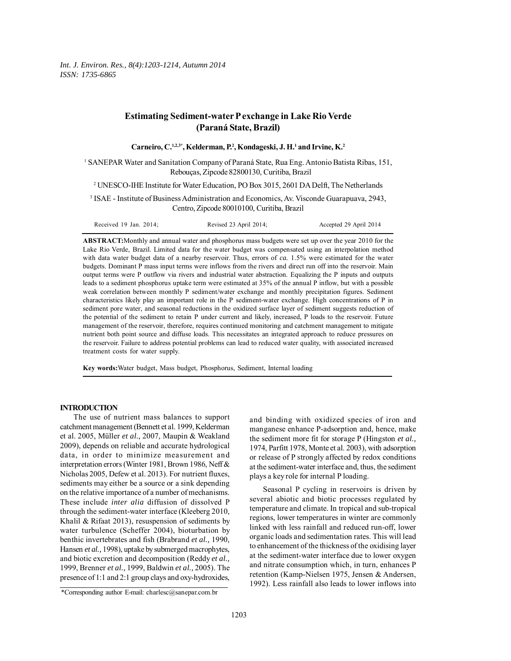*Int. J. Environ. Res., 8(4):1203-1214, Autumn 2014 ISSN: 1735-6865*

# **Estimating Sediment-water P exchange in Lake Rio Verde (Paraná State, Brazil)**

| Carneiro, C. <sup>1,2,3*</sup> , Kelderman, P. <sup>2</sup> , Kondageski, J. H. <sup>1</sup> and Irvine, K. <sup>2</sup>                             |
|------------------------------------------------------------------------------------------------------------------------------------------------------|
| SANEPAR Water and Sanitation Company of Paraná State, Rua Eng. Antonio Batista Ribas, 151,<br>Reboucas, Zipcode 82800130, Curitiba, Brazil           |
| <sup>2</sup> UNESCO-IHE Institute for Water Education, PO Box 3015, 2601 DA Delft, The Netherlands                                                   |
| <sup>3</sup> ISAE - Institute of Business Administration and Economics, Av. Visconde Guarapuava, 2943,<br>Centro, Zipcode 80010100, Curitiba, Brazil |

| Received 19 Jan. $2014$ ;<br>Revised 23 April 2014; | Accepted 29 April 2014 |  |
|-----------------------------------------------------|------------------------|--|
|-----------------------------------------------------|------------------------|--|

**ABSTRACT:**Monthly and annual water and phosphorus mass budgets were set up over the year 2010 for the Lake Rio Verde, Brazil. Limited data for the water budget was compensated using an interpolation method with data water budget data of a nearby reservoir. Thus, errors of *ca.* 1.5% were estimated for the water budgets. Dominant P mass input terms were inflows from the rivers and direct run off into the reservoir. Main output terms were P outflow via rivers and industrial water abstraction. Equalizing the P inputs and outputs leads to a sediment phosphorus uptake term were estimated at 35% of the annual P inflow, but with a possible weak correlation between monthly P sediment/water exchange and monthly precipitation figures. Sediment characteristics likely play an important role in the P sediment-water exchange. High concentrations of P in sediment pore water, and seasonal reductions in the oxidized surface layer of sediment suggests reduction of the potential of the sediment to retain P under current and likely, increased, P loads to the reservoir. Future management of the reservoir, therefore, requires continued monitoring and catchment management to mitigate nutrient both point source and diffuse loads. This necessitates an integrated approach to reduce pressures on the reservoir. Failure to address potential problems can lead to reduced water quality, with associated increased treatment costs for water supply.

**Key words:**Water budget, Mass budget, Phosphorus, Sediment, Internal loading

## **INTRODUCTION**

1

The use of nutrient mass balances to support catchment management (Bennett et al. 1999, Kelderman et al. 2005, Müller *et al.,* 2007, Maupin & Weakland 2009), depends on reliable and accurate hydrological data, in order to minimize measurement and interpretation errors (Winter 1981, Brown 1986, Neff & Nicholas 2005, Defew et al. 2013). For nutrient fluxes, sediments may either be a source or a sink depending on the relative importance of a number of mechanisms. These include *inter alia* diffusion of dissolved P through the sediment-water interface (Kleeberg 2010, Khalil & Rifaat 2013), resuspension of sediments by water turbulence (Scheffer 2004), bioturbation by benthic invertebrates and fish (Brabrand *et al.,* 1990, Hansen *et al.,* 1998), uptake by submerged macrophytes, and biotic excretion and decomposition (Reddy *et al.,* 1999, Brenner *et al.,* 1999, Baldwin *et al.,* 2005). The presence of 1:1 and 2:1 group clays and oxy-hydroxides,

and binding with oxidized species of iron and manganese enhance P-adsorption and, hence, make the sediment more fit for storage P (Hingston *et al.,* 1974, Parfitt 1978, Monte et al. 2003), with adsorption or release of P strongly affected by redox conditions at the sediment-water interface and, thus, the sediment plays a key role for internal P loading.

Seasonal P cycling in reservoirs is driven by several abiotic and biotic processes regulated by temperature and climate. In tropical and sub-tropical regions, lower temperatures in winter are commonly linked with less rainfall and reduced run-off, lower organic loads and sedimentation rates. This will lead to enhancement of the thickness of the oxidising layer at the sediment-water interface due to lower oxygen and nitrate consumption which, in turn, enhances P retention (Kamp-Nielsen 1975, Jensen & Andersen, 1992). Less rainfall also leads to lower inflows into

<sup>\*</sup>Corresponding author E-mail: charlesc@sanepar.com.br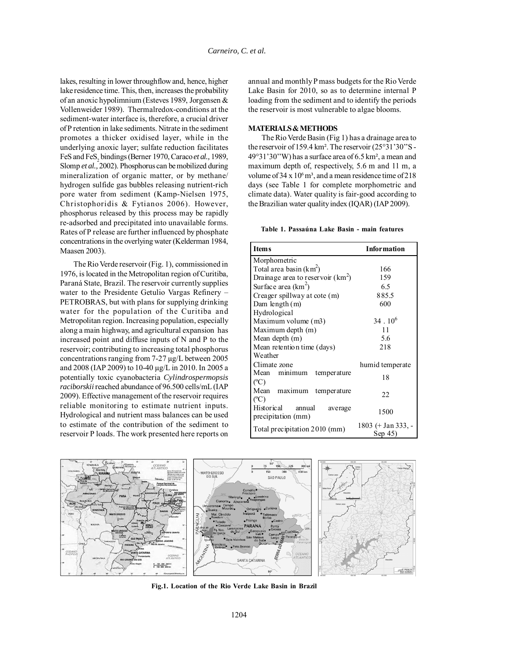lakes, resulting in lower throughflow and, hence, higher lake residence time. This, then, increases the probability of an anoxic hypolimnium (Esteves 1989, Jorgensen & Vollenweider 1989). Thermalredox-conditions at the sediment-water interface is, therefore, a crucial driver of P retention in lake sediments. Nitrate in the sediment promotes a thicker oxidised layer, while in the underlying anoxic layer; sulfate reduction facilitates FeS and FeS<sub>2</sub> bindings (Berner 1970, Caraco *et al.*, 1989, Slomp *et al.,* 2002). Phosphorus can be mobilized during mineralization of organic matter, or by methane/ hydrogen sulfide gas bubbles releasing nutrient-rich pore water from sediment (Kamp-Nielsen 1975, Christophoridis & Fytianos 2006). However, phosphorus released by this process may be rapidly re-adsorbed and precipitated into unavailable forms. Rates of P release are further influenced by phosphate concentrations in the overlying water (Kelderman 1984, Maasen 2003).

The Rio Verde reservoir (Fig. 1), commissioned in 1976, is located in the Metropolitan region of Curitiba, Paraná State, Brazil. The reservoir currently supplies water to the Presidente Getulio Vargas Refinery – PETROBRAS, but with plans for supplying drinking water for the population of the Curitiba and Metropolitan region. Increasing population, especially along a main highway, and agricultural expansion has increased point and diffuse inputs of N and P to the reservoir; contributing to increasing total phosphorus concentrations ranging from 7-27 µg/L between 2005 and 2008 (IAP 2009) to 10-40 µg/L in 2010. In 2005 a potentially toxic cyanobacteria *Cylindrospermopsis raciborskii* reached abundance of 96.500 cells/mL (IAP 2009). Effective management of the reservoir requires reliable monitoring to estimate nutrient inputs. Hydrological and nutrient mass balances can be used to estimate of the contribution of the sediment to reservoir P loads. The work presented here reports on

annual and monthly P mass budgets for the Rio Verde Lake Basin for 2010, so as to determine internal P loading from the sediment and to identify the periods the reservoir is most vulnerable to algae blooms.

## **MATERIALS & METHODS**

The Rio Verde Basin (Fig 1) has a drainage area to the reservoir of 159.4 km<sup>2</sup>. The reservoir (25°31'30"S -49°31'30''W) has a surface area of 6.5 km², a mean and maximum depth of, respectively, 5.6 m and 11 m, a volume of  $34 \times 10^6$  m<sup>3</sup>, and a mean residence time of  $218$ days (see Table 1 for complete morphometric and climate data). Water quality is fair-good according to the Brazilian water quality index (IQAR) (IAP 2009).

**Table 1. Passaúna Lake Basin - main features**

| Item <sub>s</sub>                   | <b>Information</b>            |
|-------------------------------------|-------------------------------|
| Morphometric                        |                               |
| Total area basin $(km^2)$           | 166                           |
| Drainage area to reservoir $(km^2)$ | 159                           |
| Surface area $(km^2)$               | 6.5                           |
| Creager spillway at cote (m)        | 885.5                         |
| Dam length (m)                      | 600                           |
| Hydrological                        |                               |
| Maximum volume (m3)                 | $34 \cdot 10^6$               |
| Maximum depth (m)                   | 11                            |
| Mean depth (m)                      | 5.6                           |
| Mean retention time (days)          | 218                           |
| Weather                             |                               |
| Climate zone                        | humid temperate               |
| Mean minimum temperature            | 18                            |
| (C)                                 |                               |
| Mean maximum temperature            | 22                            |
| (C)                                 |                               |
| Historical<br>annual<br>average     | 1500                          |
| precipitation (mm)                  |                               |
| Total precipitation 2010 (mm)       | 1803 (+ Jan 333, -<br>Sep 45) |



**Fig.1. Location of the Rio Verde Lake Basin in Brazil**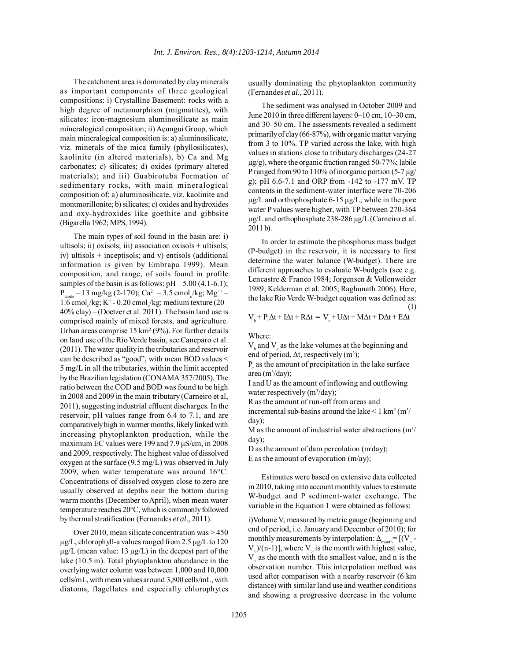The catchment area is dominated by clay minerals as important components of three geological compositions: i) Crystalline Basement: rocks with a high degree of metamorphism (migmatites), with silicates: iron-magnesium aluminosilicate as main mineralogical composition; ii) Açungui Group, which main mineralogical composition is: a) aluminosilicate, viz. minerals of the mica family (phyllosilicates), kaolinite (in altered materials), b) Ca and Mg carbonates; c) silicates; d) oxides (primary altered materials); and iii) Guabirotuba Formation of sedimentary rocks, with main mineralogical composition of: a) aluminosilicate, viz. kaolinite and montmorillonite; b) silicates; c) oxides and hydroxides and oxy-hydroxides like goethite and gibbsite (Bigarella 1962; MPS, 1994).

The main types of soil found in the basin are: i) ultisols; ii) oxisols; iii) association oxisols + ultisols; iv) ultisols + inceptisols; and v) entisols (additional information is given by Embrapa 1999). Mean composition, and range, of soils found in profile samples of the basin is as follows:  $pH - 5.00$  (4.1-6.1);  $P_{\text{label}} - 13 \text{ mg/kg} (2-170)$ ; Ca<sup>2+</sup> – 3.5 cmol<sub>c</sub>/kg; Mg<sup>++</sup> –  $1.6 \text{ cmol}_c/\text{kg}$ ; K<sup>+</sup> - 0.20 cmol<sub>c</sub>/kg; medium texture (20– 40% clay) – (Doetzer et al. 2011). The basin land use is comprised mainly of mixed forests, and agriculture. Urban areas comprise 15 km² (9%). For further details on land use of the Rio Verde basin, see Caneparo et al. (2011). The water quality in the tributaries and reservoir can be described as "good", with mean BOD values < 5 mg/L in all the tributaries, within the limit accepted by the Brazilian legislation (CONAMA 357/2005). The ratio between the COD and BOD was found to be high in 2008 and 2009 in the main tributary (Carneiro et al, 2011), suggesting industrial effluent discharges. In the reservoir, pH values range from 6.4 to 7.1, and are comparatively high in warmer months, likely linked with increasing phytoplankton production, while the maximum EC values were 199 and 7.9  $\mu$ S/cm, in 2008 and 2009, respectively. The highest value of dissolved oxygen at the surface (9.5 mg/L) was observed in July 2009, when water temperature was around 16°C. Concentrations of dissolved oxygen close to zero are usually observed at depths near the bottom during warm months (December to April), when mean water temperature reaches 20°C, which is commonly followed by thermal stratification (Fernandes *et al.,* 2011).

Over 2010, mean silicate concentration was > 450  $\mu$ g/L, chlorophyll-a values ranged from 2.5  $\mu$ g/L to 120  $\mu$ g/L (mean value: 13  $\mu$ g/L) in the deepest part of the lake (10.5 m). Total phytoplankton abundance in the overlying water column was between 1,000 and 10,000 cells/mL, with mean values around 3,800 cells/mL, with diatoms, flagellates and especially chlorophytes

usually dominating the phytoplankton community (Fernandes *et al.,* 2011).

The sediment was analysed in October 2009 and June 2010 in three different layers: 0–10 cm, 10–30 cm, and 30–50 cm. The assessments revealed a sediment primarily of clay (66-87%), with organic matter varying from 3 to 10%. TP varied across the lake, with high values in stations close to tributary discharges (24-27  $\mu$ g/g), where the organic fraction ranged 50-77%; labile P ranged from 90 to 110% of inorganic portion (5-7  $\mu$ g/ g); pH 6.6-7.1 and ORP from -142 to -177 mV. TP contents in the sediment-water interface were 70-206  $\mu$ g/L and orthophosphate 6-15  $\mu$ g/L; while in the pore water P values were higher, with TP between 270-364 µg/L and orthophosphate 238-286 µg/L (Carneiro et al. 2011 b).

In order to estimate the phosphorus mass budget (P-budget) in the reservoir, it is necessary to first determine the water balance (W-budget). There are different approaches to evaluate W-budgets (see e.g. Lencastre & Franco 1984; Jorgensen & Vollenweider 1989; Kelderman et al. 2005; Raghunath 2006). Here, the lake Rio Verde W-budget equation was defined as: (1)

$$
V_{_b} + P_{_r}\Delta t + I\Delta t + R\Delta t = V_{_e} + U\Delta t + M\Delta t + D\Delta t + E\Delta t
$$

Where:

 $V<sub>b</sub>$  and  $V<sub>e</sub>$  as the lake volumes at the beginning and end of period,  $\Delta t$ , respectively (m<sup>3</sup>);

 $P<sub>r</sub>$  as the amount of precipitation in the lake surface area (m3 /day);

I and U as the amount of inflowing and outflowing water respectively  $(m^3/day)$ ;

R as the amount of run-off from areas and incremental sub-basins around the lake  $\leq 1 \text{ km}^2 \text{ (m}^3\text{/}$ day);

M as the amount of industrial water abstractions  $(m^3/m)$ day);

D as the amount of dam percolation (m/ day); E as the amount of evaporation  $(m/ay)$ ;

Estimates were based on extensive data collected in 2010, taking into account monthly values to estimate W-budget and P sediment-water exchange. The variable in the Equation 1 were obtained as follows:

i)Volume V, measured by metric gauge (beginning and end of period, i.e. January and December of 2010); for monthly measurements by interpolation:  $\Delta_{\text{month}} = [(V_{\geq} -$ V  $/(n-1)$ ], where V is the month with highest value, V as the month with the smallest value, and n is the observation number. This interpolation method was used after comparison with a nearby reservoir (6 km distance) with similar land use and weather conditions and showing a progressive decrease in the volume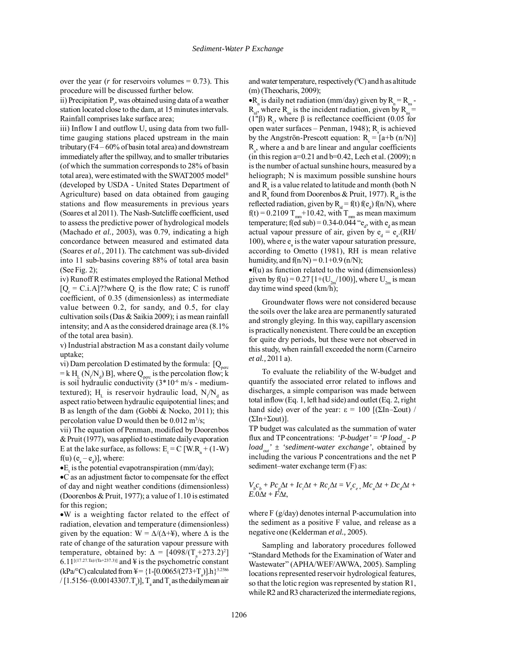over the year ( $r$  for reservoirs volumes  $= 0.73$ ). This procedure will be discussed further below.

ii) Precipitation  $P_{r}$ , was obtained using data of a weather station located close to the dam, at 15 minutes intervals. Rainfall comprises lake surface area;

iii) Inflow I and outflow U, using data from two fulltime gauging stations placed upstream in the main tributary (F4 – 60% of basin total area) and downstream immediately after the spillway, and to smaller tributaries (of which the summation corresponds to 28% of basin total area), were estimated with the SWAT2005 model® (developed by USDA - United States Department of Agriculture) based on data obtained from gauging stations and flow measurements in previous years (Soares et al 2011). The Nash-Sutcliffe coefficient, used to assess the predictive power of hydrological models (Machado *et al.,* 2003), was 0.79, indicating a high concordance between measured and estimated data (Soares *et al.,* 2011). The catchment was sub-divided into 11 sub-basins covering 88% of total area basin (See Fig. 2);

iv) Runoff R estimates employed the Rational Method  $[Q_r = C.i.A]$ ??where  $Q_r$  is the flow rate; C is runoff coefficient, of 0.35 (dimensionless) as intermediate value between 0.2, for sandy, and 0.5, for clay cultivation soils (Das & Saikia 2009); i as mean rainfall intensity; and A as the considered drainage area (8.1% of the total area basin).

v) Industrial abstraction M as a constant daily volume uptake;

vi) Dam percolation D estimated by the formula:  $[Q_{\text{perc}}]$  $=$  k H<sub>L</sub> (N<sub>f</sub>/N<sub>d</sub>) B], where Q<sub>perc</sub> is the percolation flow; k is soil hydraulic conductivity  $(3*10<sup>-6</sup> m/s - medium$ textured);  $H<sub>L</sub>$  is reservoir hydraulic load,  $N_f/N_d$  as aspect ratio between hydraulic equipotential lines; and B as length of the dam (Gobbi & Nocko, 2011); this percolation value D would then be  $0.012 \text{ m}^3/\text{s}$ ;

vii) The equation of Penman, modified by Doorenbos & Pruit (1977), was applied to estimate daily evaporation E at the lake surface, as follows:  $E_t = C$  [W.R<sub>n</sub> + (1-W)  $f(u)$  ( $e_a - e_d$ )], where:

• $E_t$  is the potential evapotranspiration (mm/day);

•C as an adjustment factor to compensate for the effect of day and night weather conditions (dimensionless) (Doorenbos & Pruit, 1977); a value of 1.10 is estimated for this region;

•W is a weighting factor related to the effect of radiation, elevation and temperature (dimensionless) given by the equation:  $W = \Delta/(\Delta + \frac{1}{2})$ , where  $\Delta$  is the rate of change of the saturation vapour pressure with temperature, obtained by:  $\Delta = [4098/(T_a + 273.2)^2]$  $6.11^{\left[(17.27.1a)/(Ta+237.3)\right]}$  and ¥ is the psychometric constant (kPa/°C) calculated from  $\frac{1}{4} = \{1 - [0.0065/(273 + T_a)] \cdot h\}^{5.2586}$ / [1.5156–(0.00143307.T<sub>s</sub>)], T<sub>a</sub> and T<sub>s</sub> as the daily mean air

and water temperature, respectively  $({}^{0}C)$  and h as altitude (m) (Theocharis, 2009);

• $R_n$  is daily net radiation (mm/day) given by  $R_n = R_n$ .  $R_{nl}$ , where  $R_{ns}$  is the incident radiation, given by  $R_{ns} =$ (1"β)  $R_s$ , where β is reflectance coefficient (0.05 for open water surfaces – Penman, 1948);  $R_s$  is achieved by the Angströn-Prescott equation:  $R_s = [a+b(n/N)]$  $R_a$ , where a and b are linear and angular coefficients (in this region  $a=0.21$  and  $b=0.42$ , Lech et al. (2009); n is the number of actual sunshine hours, measured by a heliograph; N is maximum possible sunshine hours and  $R_{\rm a}$  is a value related to latitude and month (both N and  $R_a$  found from Doorenbos & Pruit, 1977).  $R_{nl}$  is the reflected radiation, given by  $R_{nl} = f(t) f(e_d) f(n/N)$ , where  $f(t) = 0.2109 T<sub>mm</sub>+10.42$ , with  $T<sub>mm</sub>$  as mean maximum temperature; f(ed sub) =  $0.34$ - $0.044$  " $e_d$ , with  $e_d$  as mean actual vapour pressure of air, given by  $e_d = e_a$ . (RH/ 100), where  $e_a$  is the water vapour saturation pressure, according to Ometto (1981), RH is mean relative humidity, and  $f(n/N) = 0.1 + 0.9$  (n/N);

•f(u) as function related to the wind (dimensionless) given by f(u) =  $0.27$  [1+(U<sub>2m</sub>/100)], where U<sub>2m</sub> is mean day time wind speed (km/h);

Groundwater flows were not considered because the soils over the lake area are permanently saturated and strongly gleying. In this way, capillary ascension is practically nonexistent. There could be an exception for quite dry periods, but these were not observed in this study, when rainfall exceeded the norm (Carneiro *et al.,* 2011 a).

To evaluate the reliability of the W-budget and quantify the associated error related to inflows and discharges, a simple comparison was made between total inflow (Eq. 1, left had side) and outlet (Eq. 2, right hand side) over of the year:  $\epsilon = 100$  [(ΣIn–Σout) / (ΣIn+Σout)].

TP budget was calculated as the summation of water flux and TP concentrations:  $\hat{P}$ -budget' =  $\hat{P}$  load<sub>in</sub> - P  $load_{out}$ '  $\pm$  'sediment-water exchange', obtained by including the various P concentrations and the net P sediment–water exchange term  $(F)$  as:

$$
V_{b}C_{b} + Pc_{p}\Delta t + Ic_{i}\Delta t + Rc_{r}\Delta t = V_{e}C_{e+}Mc_{u}\Delta t + Dc_{d}\Delta t + E.0\Delta t + F\Delta t,
$$

where F (g/day) denotes internal P-accumulation into the sediment as a positive F value, and release as a negative one (Kelderman *et al.,* 2005).

Sampling and laboratory procedures followed "Standard Methods for the Examination of Water and Wastewater" (APHA/WEF/AWWA, 2005). Sampling locations represented reservoir hydrological features, so that the lotic region was represented by station R1, while R2 and R3 characterized the intermediate regions,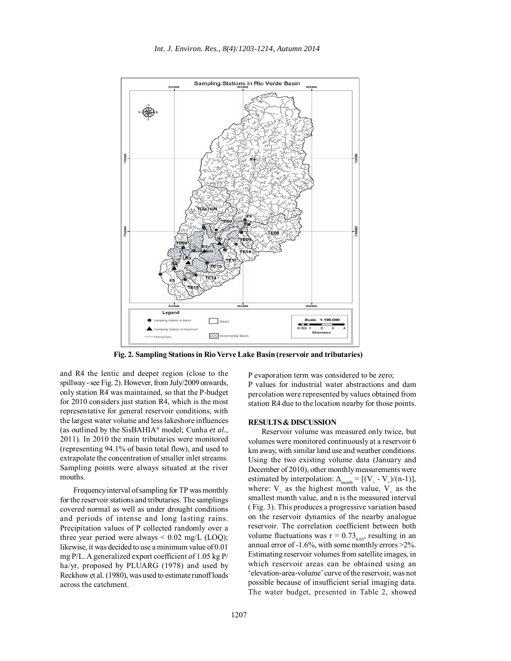

**Fig. 2. Sampling Stations in Rio Verve Lake Basin (reservoir and tributaries)**

and R4 the lentic and deeper region (close to the spillway - see Fig. 2). However, from July/2009 onwards, only station R4 was maintained, so that the P-budget for 2010 considers just station R4, which is the most representative for general reservoir conditions, with the largest water volume and less lakeshore influences (as outlined by the SisBAHIA® model; Cunha *et al.,* 2011). In 2010 the main tributaries were monitored (representing 94.1% of basin total flow), and used to extrapolate the concentration of smaller inlet streams. Sampling points were always situated at the river mouths.

Frequency interval of sampling for TP was monthly for the reservoir stations and tributaries. The samplings covered normal as well as under drought conditions and periods of intense and long lasting rains. Precipitation values of P collected randomly over a three year period were always  $\leq 0.02$  mg/L (LOQ); likewise, it was decided to use a minimum value of 0.01 mg P/L. A generalized export coefficient of 1.05 kg P/ ha/yr, proposed by PLUARG (1978) and used by Reckhow et al. (1980), was used to estimate runoff loads across the catchment.

P evaporation term was considered to be zero; P values for industrial water abstractions and dam percolation were represented by values obtained from station R4 due to the location nearby for those points.

### **RESULTS & DISCUSSION**

Reservoir volume was measured only twice, but volumes were monitored continuously at a reservoir 6 km away, with similar land use and weather conditions. Using the two existing volume data (January and December of 2010), other monthly measurements were estimated by interpolation:  $\Delta_{\text{month}} = [(V, -V) / (n-1)],$ where:  $V_{\rm{p}}$  as the highest month value,  $V_{\rm{p}}$  as the smallest month value, and n is the measured interval ( Fig. 3). This produces a progressive variation based on the reservoir dynamics of the nearby analogue reservoir. The correlation coefficient between both volume fluctuations was  $r = 0.73_{0.05}$ , resulting in an annual error of -1.6%, with some monthly errors >2%. Estimating reservoir volumes from satellite images, in which reservoir areas can be obtained using an 'elevation-area-volume' curve of the reservoir, was not possible because of insufficient serial imaging data. The water budget, presented in Table 2, showed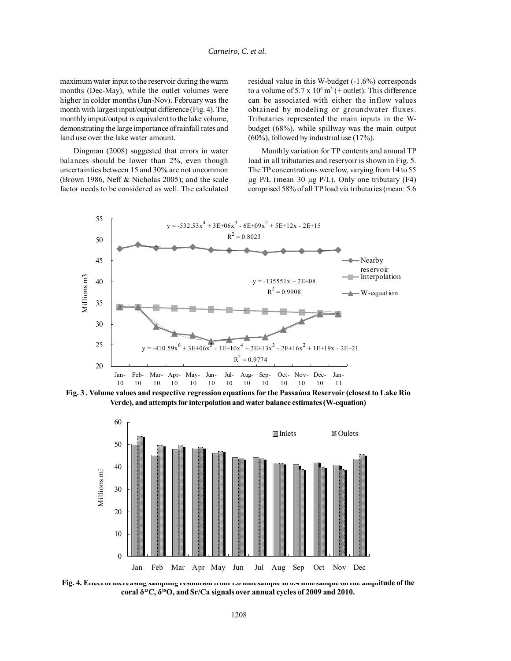maximum water input to the reservoir during the warm months (Dec-May), while the outlet volumes were higher in colder months (Jun-Nov). February was the month with largest input/output difference (Fig. 4). The monthly imput/output is equivalent to the lake volume, demonstrating the large importance of rainfall rates and land use over the lake water amount.

Dingman (2008) suggested that errors in water balances should be lower than 2%, even though uncertainties between 15 and 30% are not uncommon (Brown 1986, Neff & Nicholas 2005); and the scale factor needs to be considered as well. The calculated

residual value in this W-budget (-1.6%) corresponds to a volume of  $5.7 \times 10^6$  m<sup>3</sup> (+ outlet). This difference can be associated with either the inflow values obtained by modeling or groundwater fluxes. Tributaries represented the main inputs in the Wbudget (68%), while spillway was the main output (60%), followed by industrial use (17%).

Monthly variation for TP contents and annual TP load in all tributaries and reservoir is shown in Fig. 5. The TP concentrations were low, varying from 14 to 55 µg P/L (mean 30 µg P/L). Only one tributary (F4) comprised 58% of all TP load via tributaries (mean: 5.6



**Fig. 3 . Volume values and respective regression equations for the Passaúna Reservoir (closest to Lake Rio Verde), and attempts for interpolation and water balance estimates (W-equation)**



**Fig. 4. Effect of increasing sampling resolution from 1.0 mm/sample to 0.4 mm/sample on the amplitude of the coral δ13C, δ18O, and Sr/Ca signals over annual cycles of 2009 and 2010.**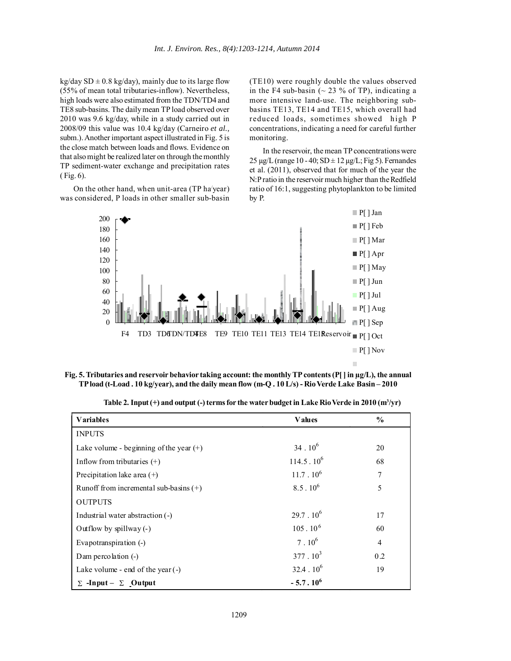kg/day  $SD \pm 0.8$  kg/day), mainly due to its large flow (55% of mean total tributaries-inflow). Nevertheless, high loads were also estimated from the TDN/TD4 and TE8 sub-basins. The daily mean TP load observed over 2010 was 9.6 kg/day, while in a study carried out in 2008/09 this value was 10.4 kg/day (Carneiro *et al.,* subm.). Another important aspect illustrated in Fig. 5 is the close match between loads and flows. Evidence on that also might be realized later on through the monthly TP sediment-water exchange and precipitation rates ( Fig. 6).

On the other hand, when unit-area (TP ha'year) was considered, P loads in other smaller sub-basin

(TE10) were roughly double the values observed in the F4 sub-basin ( $\sim$  23 % of TP), indicating a more intensive land-use. The neighboring subbasins TE13, TE14 and TE15, which overall had reduced loads, sometimes showed high P concentrations, indicating a need for careful further monitoring.

In the reservoir, the mean TP concentrations were  $25 \mu g/L$  (range 10 - 40; SD  $\pm$  12  $\mu g/L$ ; Fig 5). Fernandes et al. (2011), observed that for much of the year the N:P ratio in the reservoir much higher than the Redfield ratio of 16:1, suggesting phytoplankton to be limited by P.



**Fig. 5. Tributaries and reservoir behavior taking account: the monthly TP contents (P[ ] in µg/L), the annual TP load (t-Load . 10 kg/year), and the daily mean flow (m-Q . 10 L/s) - Rio Verde Lake Basin – 2010**

| <b>Variables</b>                          | <b>V</b> alues      | $\frac{6}{9}$  |
|-------------------------------------------|---------------------|----------------|
| <b>INPUTS</b>                             |                     |                |
| Lake volume - beginning of the year $(+)$ | $34 \cdot 10^6$     | 20             |
| Inflow from tributaries $(+)$             | $114.5 \cdot 10^6$  | 68             |
| Precipitation lake area $(+)$             | $11.7.10^6$         | 7              |
| Runoff from incremental sub-basins $(+)$  | $8.5 \cdot 10^6$    | 5              |
| <b>OUTPUTS</b>                            |                     |                |
| Industrial water abstraction (-)          | $29.7 \cdot 10^6$   | 17             |
| Outflow by spillway $(-)$                 | $105 \cdot 10^6$    | 60             |
| Evapotranspiration (-)                    | $7.10^{6}$          | $\overline{4}$ |
| Dam percolation $(-)$                     | $377 \cdot 10^3$    | 0.2            |
| Lake volume - end of the year $(-)$       | $32.4 \cdot 10^{6}$ | 19             |
| $\Sigma$ -Input – $\Sigma$ Output         | $-5.7.10^{6}$       |                |

**Table 2. Input (+) and output (-) terms for the water budget in Lake Rio Verde in 2010 (m3 /yr)**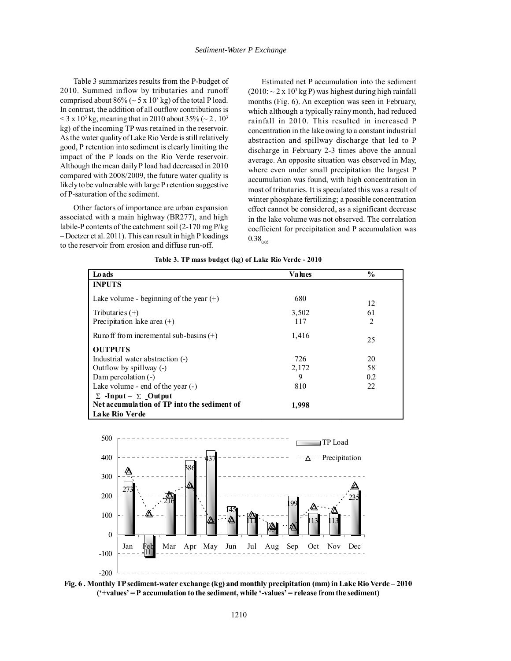Table 3 summarizes results from the P-budget of 2010. Summed inflow by tributaries and runoff comprised about  $86\%$  ( $\sim$  5 x 10<sup>3</sup> kg) of the total P load. In contrast, the addition of all outflow contributions is  $<$  3 x 10<sup>3</sup> kg, meaning that in 2010 about 35% ( $\sim$  2 . 10<sup>3</sup> kg) of the incoming TP was retained in the reservoir. As the water quality of Lake Rio Verde is still relatively good, P retention into sediment is clearly limiting the impact of the P loads on the Rio Verde reservoir. Although the mean daily P load had decreased in 2010 compared with 2008/2009, the future water quality is likely to be vulnerable with large P retention suggestive of P-saturation of the sediment.

Other factors of importance are urban expansion associated with a main highway (BR277), and high labile-P contents of the catchment soil (2-170 mg P/kg – Doetzer et al. 2011). This can result in high P loadings to the reservoir from erosion and diffuse run-off.

Estimated net P accumulation into the sediment  $(2010: \sim 2 \times 10^3 \,\mathrm{kg} \,\mathrm{P})$  was highest during high rainfall months (Fig. 6). An exception was seen in February, which although a typically rainy month, had reduced rainfall in 2010. This resulted in increased P concentration in the lake owing to a constant industrial abstraction and spillway discharge that led to P discharge in February 2-3 times above the annual average. An opposite situation was observed in May, where even under small precipitation the largest P accumulation was found, with high concentration in most of tributaries. It is speculated this was a result of winter phosphate fertilizing; a possible concentration effect cannot be considered, as a significant decrease in the lake volume was not observed. The correlation coefficient for precipitation and P accumulation was  $0.38_{0.05}$ 

**Table 3. TP mass budget (kg) of Lake Rio Verde - 2010**

| Loads                                       | <b>Values</b> | $\frac{6}{9}$ |
|---------------------------------------------|---------------|---------------|
| <b>INPUTS</b>                               |               |               |
| Lake volume - beginning of the year $(+)$   | 680           | 12            |
| Tributaries $(+)$                           | 3,502         | 61            |
| Precipitation lake area $(+)$               | 117           | 2             |
| Runo ff from incremental sub-basins $(+)$   | 1,416         | 25            |
| <b>OUTPUTS</b>                              |               |               |
| Industrial water abstraction (-)            | 726           | 20            |
| Outflow by spillway (-)                     | 2,172         | 58            |
| Dam percolation $(-)$                       | 9             | 0.2           |
| Lake volume - end of the year $(-)$         | 810           | 22            |
| $\Sigma$ -Input – $\Sigma$ Output           |               |               |
| Net accumulation of TP into the sediment of | 1,998         |               |
| Lake Rio Verde                              |               |               |



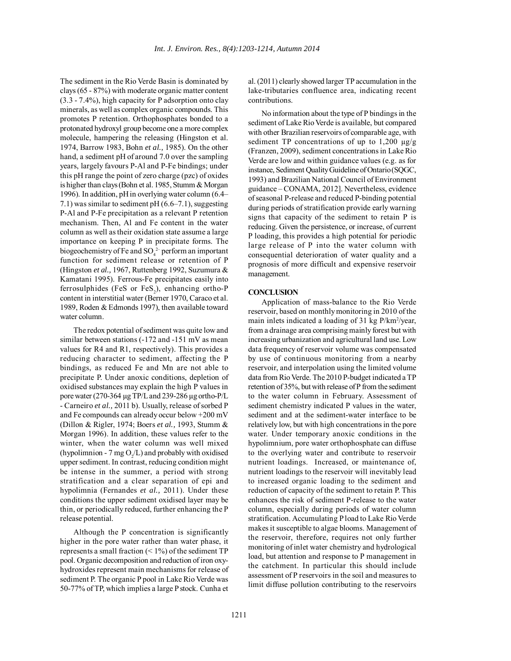The sediment in the Rio Verde Basin is dominated by clays (65 - 87%) with moderate organic matter content (3.3 - 7.4%), high capacity for P adsorption onto clay minerals, as well as complex organic compounds. This promotes P retention. Orthophosphates bonded to a protonated hydroxyl group become one a more complex molecule, hampering the releasing (Hingston et al. 1974, Barrow 1983, Bohn *et al.,* 1985). On the other hand, a sediment pH of around 7.0 over the sampling years, largely favours P-Al and P-Fe bindings; under this pH range the point of zero charge (pzc) of oxides is higher than clays (Bohn et al. 1985, Stumm & Morgan 1996). In addition, pH in overlying water column (6.4– 7.1) was similar to sediment pH (6.6–7.1), suggesting P-Al and P-Fe precipitation as a relevant P retention mechanism. Then, Al and Fe content in the water column as well as their oxidation state assume a large importance on keeping P in precipitate forms. The biogeochemistry of Fe and  $\text{SO}_4^2$  perform an important function for sediment release or retention of P (Hingston *et al.,* 1967, Ruttenberg 1992, Suzumura & Kamatani 1995). Ferrous-Fe precipitates easily into ferrosulphides (FeS or FeS<sub>2</sub>), enhancing ortho-P content in interstitial water (Berner 1970, Caraco et al. 1989, Roden & Edmonds 1997), then available toward water column.

The redox potential of sediment was quite low and similar between stations (-172 and -151 mV as mean values for R4 and R1, respectively). This provides a reducing character to sediment, affecting the P bindings, as reduced Fe and Mn are not able to precipitate P. Under anoxic conditions, depletion of oxidised substances may explain the high P values in pore water (270-364 µg TP/L and 239-286 µg ortho-P/L - Carneiro *et al.,* 2011 b). Usually, release of sorbed P and Fe compounds can already occur below +200 mV (Dillon & Rigler, 1974; Boers *et al.,* 1993, Stumm & Morgan 1996). In addition, these values refer to the winter, when the water column was well mixed (hypolimnion - 7 mg  $O_2/L$ ) and probably with oxidised upper sediment. In contrast, reducing condition might be intense in the summer, a period with strong stratification and a clear separation of epi and hypolimnia (Fernandes *et al.,* 2011). Under these conditions the upper sediment oxidised layer may be thin, or periodically reduced, further enhancing the P release potential.

Although the P concentration is significantly higher in the pore water rather than water phase, it represents a small fraction  $(< 1\%)$  of the sediment TP pool. Organic decomposition and reduction of iron oxyhydroxides represent main mechanisms for release of sediment P. The organic P pool in Lake Rio Verde was 50-77% of TP, which implies a large P stock. Cunha et al. (2011) clearly showed larger TP accumulation in the lake-tributaries confluence area, indicating recent contributions.

No information about the type of P bindings in the sediment of Lake Rio Verde is available, but compared with other Brazilian reservoirs of comparable age, with sediment TP concentrations of up to 1,200  $\mu$ g/g (Franzen, 2009), sediment concentrations in Lake Rio Verde are low and within guidance values (e.g. as for instance, Sediment Quality Guideline of Ontario (SQGC, 1993) and Brazilian National Council of Environment guidance – CONAMA, 2012]. Nevertheless, evidence of seasonal P-release and reduced P-binding potential during periods of stratification provide early warning signs that capacity of the sediment to retain P is reducing. Given the persistence, or increase, of current P loading, this provides a high potential for periodic large release of P into the water column with consequential deterioration of water quality and a prognosis of more difficult and expensive reservoir management.

### **CONCLUSION**

Application of mass-balance to the Rio Verde reservoir, based on monthly monitoring in 2010 of the main inlets indicated a loading of 31 kg P/km<sup>2</sup>/year, from a drainage area comprising mainly forest but with increasing urbanization and agricultural land use. Low data frequency of reservoir volume was compensated by use of continuous monitoring from a nearby reservoir, and interpolation using the limited volume data from Rio Verde. The 2010 P-budget indicated a TP retention of 35%, but with release of P from the sediment to the water column in February. Assessment of sediment chemistry indicated P values in the water, sediment and at the sediment-water interface to be relatively low, but with high concentrations in the pore water. Under temporary anoxic conditions in the hypolimnium, pore water orthophosphate can diffuse to the overlying water and contribute to reservoir nutrient loadings. Increased, or maintenance of, nutrient loadings to the reservoir will inevitably lead to increased organic loading to the sediment and reduction of capacity of the sediment to retain P. This enhances the risk of sediment P-release to the water column, especially during periods of water column stratification. Accumulating P load to Lake Rio Verde makes it susceptible to algae blooms. Management of the reservoir, therefore, requires not only further monitoring of inlet water chemistry and hydrological load, but attention and response to P management in the catchment. In particular this should include assessment of P reservoirs in the soil and measures to limit diffuse pollution contributing to the reservoirs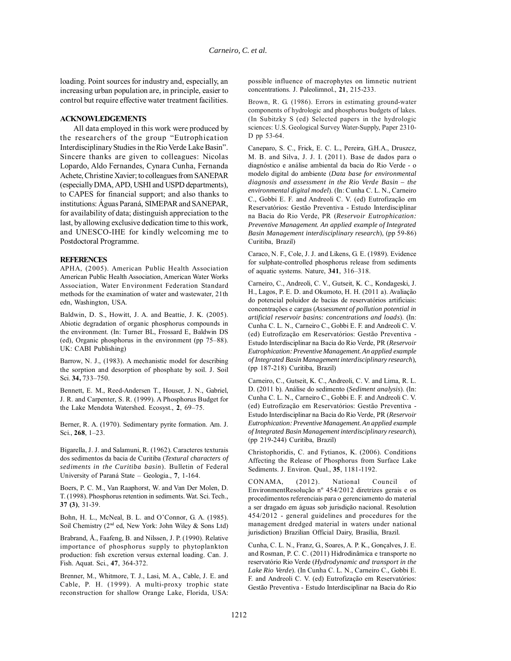loading. Point sources for industry and, especially, an increasing urban population are, in principle, easier to control but require effective water treatment facilities.

### **ACKNOWLEDGEMENTS**

All data employed in this work were produced by the researchers of the group "Eutrophication Interdisciplinary Studies in the Rio Verde Lake Basin". Sincere thanks are given to colleagues: Nicolas Lopardo, Aldo Fernandes, Cynara Cunha, Fernanda Achete, Christine Xavier; to colleagues from SANEPAR (especially DMA, APD, USHI and USPD departments), to CAPES for financial support; and also thanks to institutions: Águas Paraná, SIMEPAR and SANEPAR, for availability of data; distinguish appreciation to the last, by allowing exclusive dedication time to this work, and UNESCO-IHE for kindly welcoming me to Postdoctoral Programme.

#### **REFERENCES**

APHA, (2005). American Public Health Association American Public Health Association, American Water Works Association, Water Environment Federation Standard methods for the examination of water and wastewater, 21th edn, Washington, USA.

Baldwin, D. S., Howitt, J. A. and Beattie, J. K. (2005). Abiotic degradation of organic phosphorus compounds in the environment. (In: Turner BL, Frossard E, Baldwin DS (ed), Organic phosphorus in the environment (pp 75–88). UK: CABI Publishing)

Barrow, N. J., (1983). A mechanistic model for describing the sorption and desorption of phosphate by soil. J. Soil Sci. **34,** 733–750.

Bennett, E. M., Reed-Andersen T., Houser, J. N., Gabriel, J. R. and Carpenter, S. R. (1999). A Phosphorus Budget for the Lake Mendota Watershed. Ecosyst., **2**, 69–75.

Berner, R. A. (1970). Sedimentary pyrite formation. Am. J. Sci., **268**, 1–23.

Bigarella, J. J. and Salamuni, R. (1962). Caracteres texturais dos sedimentos da bacia de Curitiba (*Textural characters of sediments in the Curitiba basin*). Bulletin of Federal University of Paraná State – Geologia., **7**, 1-164.

Boers, P. C. M., Van Raaphorst, W. and Van Der Molen, D. T. (1998). Phosphorus retention in sediments. Wat. Sci. Tech., **37 (3)**, 31-39.

Bohn, H. L., McNeal, B. L. and O'Connor, G. A. (1985). Soil Chemistry (2nd ed, New York: John Wiley & Sons Ltd)

Brabrand, Å., Faafeng, B. and Nilssen, J. P. (1990). Relative importance of phosphorus supply to phytoplankton production: fish excretion versus external loading. Can. J. Fish. Aquat. Sci., **47**, 364-372.

Brenner, M., Whitmore, T. J., Lasi, M. A., Cable, J. E. and Cable, P. H. (1999). A multi-proxy trophic state reconstruction for shallow Orange Lake, Florida, USA:

possible influence of macrophytes on limnetic nutrient concentrations. J. Paleolimnol., **21**, 215-233.

Brown, R. G. (1986). Errors in estimating ground-water components of hydrologic and phosphorus budgets of lakes. (In Subitzky S (ed) Selected papers in the hydrologic sciences: U.S. Geological Survey Water-Supply, Paper 2310- D pp 53-64.

Caneparo, S. C., Frick, E. C. L., Pereira, G.H.A., Druszcz, M. B. and Silva, J. J. I. (2011). Base de dados para o diagnóstico e análise ambiental da bacia do Rio Verde - o modelo digital do ambiente (*Data base for environmental diagnosis and assessment in the Rio Verde Basin – the environmental digital model*). (In: Cunha C. L. N., Carneiro C., Gobbi E. F. and Andreoli C. V. (ed) Eutrofização em Reservatórios: Gestão Preventiva - Estudo Interdisciplinar na Bacia do Rio Verde, PR (*Reservoir Eutrophication: Preventive Management. An applied example of Integrated Basin Management interdisciplinary research*), (pp 59-86) Curitiba, Brazil)

Caraco, N. F., Cole, J. J. and Likens, G. E. (1989). Evidence for sulphate-controlled phosphorus release from sediments of aquatic systems. Nature, **341**, 316–318.

Carneiro, C., Andreoli, C. V., Gutseit, K. C., Kondageski, J. H., Lagos, P. E. D. and Okumoto, H. H. (2011 a). Avaliação do potencial poluidor de bacias de reservatórios artificiais: concentrações e cargas (*Assessment of pollution potential in artificial reservoir basins: concentrations and loads*). (In: Cunha C. L. N., Carneiro C., Gobbi E. F. and Andreoli C. V. (ed) Eutrofização em Reservatórios: Gestão Preventiva - Estudo Interdisciplinar na Bacia do Rio Verde, PR (*Reservoir Eutrophication: Preventive Management. An applied example of Integrated Basin Management interdisciplinary research*), (pp 187-218) Curitiba, Brazil)

Carneiro, C., Gutseit, K. C., Andreoli, C. V. and Lima, R. L. D. (2011 b). Análise do sedimento (*Sediment analysis*). (In: Cunha C. L. N., Carneiro C., Gobbi E. F. and Andreoli C. V. (ed) Eutrofização em Reservatórios: Gestão Preventiva - Estudo Interdisciplinar na Bacia do Rio Verde, PR (*Reservoir Eutrophication: Preventive Management. An applied example of Integrated Basin Management interdisciplinary research*), (pp 219-244) Curitiba, Brazil)

Christophoridis, C. and Fytianos, K. (2006). Conditions Affecting the Release of Phosphorus from Surface Lake Sediments. J. Environ. Qual., **35**, 1181-1192.

CONAMA, (2012). National Council of EnvironmentResolução nº 454/2012 diretrizes gerais e os procedimentos referenciais para o gerenciamento do material a ser dragado em águas sob jurisdição nacional. Resolution 454/2012 - general guidelines and procedures for the management dredged material in waters under national jurisdiction) Brazilian Official Dairy, Brasília, Brazil.

Cunha, C. L. N., Franz, G., Soares, A. P. K., Gonçalves, J. E. and Rosman, P. C. C. (2011) Hidrodinâmica e transporte no reservatório Rio Verde (*Hydrodynamic and transport in the Lake Rio Verde*). (In Cunha C. L. N., Carneiro C., Gobbi E. F. and Andreoli C. V. (ed) Eutrofização em Reservatórios: Gestão Preventiva - Estudo Interdisciplinar na Bacia do Rio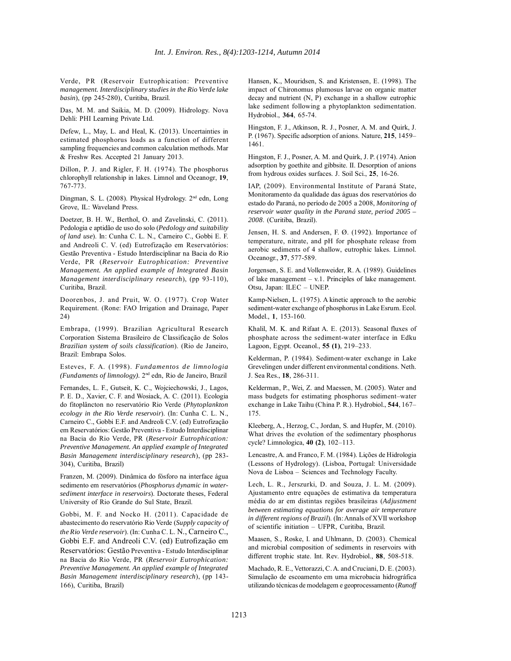Verde, PR (Reservoir Eutrophication: Preventive *management. Interdisciplinary studies in the Rio Verde lake basin*), (pp 245-280), Curitiba, Brazil.

Das, M. M. and Saikia, M. D. (2009). Hidrology. Nova Dehli: PHI Learning Private Ltd.

Defew, L., May, L. and Heal, K. (2013). Uncertainties in estimated phosphorus loads as a function of different sampling frequencies and common calculation methods. Mar & Freshw Res. Accepted 21 January 2013.

Dillon, P. J. and Rigler, F. H. (1974). The phosphorus chlorophyll relationship in lakes. Limnol and Oceanogr, **19**, 767-773.

Dingman, S. L. (2008). Physical Hydrology. 2<sup>nd</sup> edn, Long Grove, IL: Waveland Press.

Doetzer, B. H. W., Berthol, O. and Zavelinski, C. (2011). Pedologia e aptidão de uso do solo (*Pedology and suitability of land use*). In: Cunha C. L. N., Carneiro C., Gobbi E. F. and Andreoli C. V. (ed) Eutrofização em Reservatórios: Gestão Preventiva - Estudo Interdisciplinar na Bacia do Rio Verde, PR (*Reservoir Eutrophication: Preventive Management. An applied example of Integrated Basin Management interdisciplinary research*), (pp 93-110), Curitiba, Brazil.

Doorenbos, J. and Pruit, W. O. (1977). Crop Water Requirement. (Rone: FAO Irrigation and Drainage, Paper 24)

Embrapa, (1999). Brazilian Agricultural Research Corporation Sistema Brasileiro de Classificação de Solos *Brazilian system of soils classification*). (Rio de Janeiro, Brazil: Embrapa Solos.

Esteves, F. A. (1998). *Fundamentos de limnologia (Fundaments of limnology).* 2nd edn, Rio de Janeiro, Brazil

Fernandes, L. F., Gutseit, K. C., Wojciechowski, J., Lagos, P. E. D., Xavier, C. F. and Wosiack, A. C. (2011). Ecologia do fitoplâncton no reservatório Rio Verde (*Phytoplankton ecology in the Rio Verde reservoir*). (In: Cunha C. L. N., Carneiro C., Gobbi E.F. and Andreoli C.V. (ed) Eutrofização em Reservatórios: Gestão Preventiva - Estudo Interdisciplinar na Bacia do Rio Verde, PR (*Reservoir Eutrophication: Preventive Management. An applied example of Integrated Basin Management interdisciplinary research*), (pp 283- 304), Curitiba, Brazil)

Franzen, M. (2009). Dinâmica do fósforo na interface água sedimento em reservatórios (*Phosphorus dynamic in watersediment interface in reservoirs*). Doctorate theses, Federal University of Rio Grande do Sul State, Brazil.

Gobbi, M. F. and Nocko H. (2011). Capacidade de abastecimento do reservatório Rio Verde (*Supply capacity of the Rio Verde reservoir*). (In: Cunha C. L. N., Carneiro C., Gobbi E.F. and Andreoli C.V. (ed) Eutrofização em Reservatórios: Gestão Preventiva - Estudo Interdisciplinar na Bacia do Rio Verde, PR (*Reservoir Eutrophication: Preventive Management. An applied example of Integrated Basin Management interdisciplinary research*), (pp 143- 166), Curitiba, Brazil)

Hansen, K., Mouridsen, S. and Kristensen, E. (1998). The impact of Chironomus plumosus larvae on organic matter decay and nutrient (N, P) exchange in a shallow eutrophic lake sediment following a phytoplankton sedimentation. Hydrobiol., **364**, 65-74.

Hingston, F. J., Atkinson, R. J., Posner, A. M. and Quirk, J. P. (1967). Specific adsorption of anions. Nature, **215**, 1459– 1461.

Hingston, F. J., Posner, A. M. and Quirk, J. P. (1974). Anion adsorption by goethite and gibbsite. II. Desorption of anions from hydrous oxides surfaces. J. Soil Sci., **25**, 16-26.

IAP, (2009). Environmental Institute of Paraná State, Monitoramento da qualidade das águas dos reservatórios do estado do Paraná, no período de 2005 a 2008, *Monitoring of reservoir water quality in the Paraná state, period 2005 – 2008*. (Curitiba, Brazil).

Jensen, H. S. and Andersen, F. Ø. (1992). Importance of temperature, nitrate, and pH for phosphate release from aerobic sediments of 4 shallow, eutrophic lakes. Limnol. Oceanogr., **37**, 577-589.

Jorgensen, S. E. and Vollenweider, R. A. (1989). Guidelines of lake management – v.1. Principles of lake management. Otsu, Japan: ILEC – UNEP.

Kamp-Nielsen, L. (1975). A kinetic approach to the aerobic sediment-water exchange of phosphorus in Lake Esrum. Ecol. Model., **1**, 153-160.

Khalil, M. K. and Rifaat A. E. (2013). Seasonal fluxes of phosphate across the sediment-water interface in Edku Lagoon, Egypt. Oceanol., **55 (1)**, 219–233.

Kelderman, P. (1984). Sediment-water exchange in Lake Grevelingen under different environmental conditions. Neth. J. Sea Res., **18**, 286-311.

Kelderman, P., Wei, Z. and Maessen, M. (2005). Water and mass budgets for estimating phosphorus sediment–water exchange in Lake Taihu (China P. R.). Hydrobiol., **544**, 167– 175.

Kleeberg, A., Herzog, C., Jordan, S. and Hupfer, M. (2010). What drives the evolution of the sedimentary phosphorus cycle? Limnologica, **40 (2)**, 102–113.

Lencastre, A. and Franco, F. M. (1984). Lições de Hidrologia (Lessons of Hydrology). (Lisboa, Portugal: Universidade Nova de Lisboa – Sciences and Technology Faculty.

Lech, L. R., Jerszurki, D. and Souza, J. L. M. (2009). Ajustamento entre equações de estimativa da temperatura média do ar em distintas regiões brasileiras (*Adjustment between estimating equations for average air temperature in different regions of Brazil*). (In: Annals of XVII workshop of scientific initiation – UFPR, Curitiba, Brazil.

Maasen, S., Roske, I. and Uhlmann, D. (2003). Chemical and microbial composition of sediments in reservoirs with different trophic state. Int. Rev. Hydrobiol., **88**, 508-518.

Machado, R. E., Vettorazzi, C. A. and Cruciani, D. E. (2003). Simulação de escoamento em uma microbacia hidrográfica utilizando técnicas de modelagem e geoprocessamento (*Runoff*